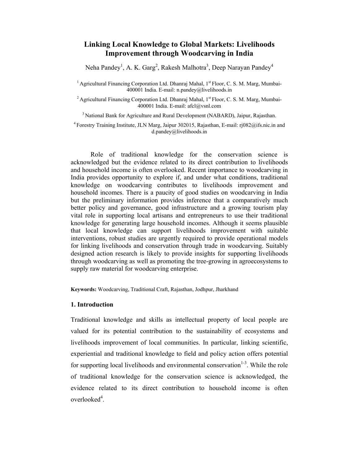## **Linking Local Knowledge to Global Markets: Livelihoods Improvement through Woodcarving in India**

Neha Pandey<sup>1</sup>, A. K. Garg<sup>2</sup>, Rakesh Malhotra<sup>3</sup>, Deep Narayan Pandey<sup>4</sup>

<sup>1</sup> Agricultural Financing Corporation Ltd. Dhanraj Mahal,  $1<sup>st</sup> Floor, C, S, M, Marg, Mumbai-$ 400001 India. E-mail: n.pandey@livelihoods.in

<sup>2</sup> Agricultural Financing Corporation Ltd. Dhanraj Mahal,  $1<sup>st</sup> Floor, C. S. M. Marg, Mumba-$ 400001 India. E-mail: afcl@vsnl.com

<sup>3</sup> National Bank for Agriculture and Rural Development (NABARD), Jaipur, Rajasthan.

<sup>4</sup> Forestry Training Institute, JLN Marg, Jaipur 302015, Rajasthan, E-mail: rj082@ifs.nic.in and d.pandey@livelihoods.in

Role of traditional knowledge for the conservation science is acknowledged but the evidence related to its direct contribution to livelihoods and household income is often overlooked. Recent importance to woodcarving in India provides opportunity to explore if, and under what conditions, traditional knowledge on woodcarving contributes to livelihoods improvement and household incomes. There is a paucity of good studies on woodcarving in India but the preliminary information provides inference that a comparatively much better policy and governance, good infrastructure and a growing tourism play vital role in supporting local artisans and entrepreneurs to use their traditional knowledge for generating large household incomes. Although it seems plausible that local knowledge can support livelihoods improvement with suitable interventions, robust studies are urgently required to provide operational models for linking livelihoods and conservation through trade in woodcarving. Suitably designed action research is likely to provide insights for supporting livelihoods through woodcarving as well as promoting the tree-growing in agroecosystems to supply raw material for woodcarving enterprise.

**Keywords:** Woodcarving, Traditional Craft, Rajasthan, Jodhpur, Jharkhand

#### **1. Introduction**

Traditional knowledge and skills as intellectual property of local people are valued for its potential contribution to the sustainability of ecosystems and livelihoods improvement of local communities. In particular, linking scientific, experiential and traditional knowledge to field and policy action offers potential for supporting local livelihoods and environmental conservation<sup>1-3</sup>. While the role of traditional knowledge for the conservation science is acknowledged, the evidence related to its direct contribution to household income is often overlooked<sup>4</sup>.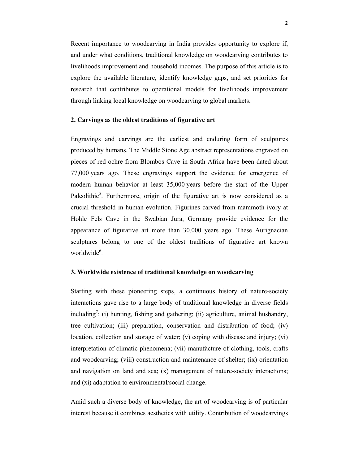Recent importance to woodcarving in India provides opportunity to explore if, and under what conditions, traditional knowledge on woodcarving contributes to livelihoods improvement and household incomes. The purpose of this article is to explore the available literature, identify knowledge gaps, and set priorities for research that contributes to operational models for livelihoods improvement through linking local knowledge on woodcarving to global markets.

## **2. Carvings as the oldest traditions of figurative art**

Engravings and carvings are the earliest and enduring form of sculptures produced by humans. The Middle Stone Age abstract representations engraved on pieces of red ochre from Blombos Cave in South Africa have been dated about 77,000 years ago. These engravings support the evidence for emergence of modern human behavior at least 35,000 years before the start of the Upper Paleolithic<sup>5</sup>. Furthermore, origin of the figurative art is now considered as a crucial threshold in human evolution. Figurines carved from mammoth ivory at Hohle Fels Cave in the Swabian Jura, Germany provide evidence for the appearance of figurative art more than 30,000 years ago. These Aurignacian sculptures belong to one of the oldest traditions of figurative art known worldwide<sup>6</sup>.

## **3. Worldwide existence of traditional knowledge on woodcarving**

Starting with these pioneering steps, a continuous history of nature-society interactions gave rise to a large body of traditional knowledge in diverse fields including<sup>7</sup>: (i) hunting, fishing and gathering; (ii) agriculture, animal husbandry, tree cultivation; (iii) preparation, conservation and distribution of food; (iv) location, collection and storage of water; (v) coping with disease and injury; (vi) interpretation of climatic phenomena; (vii) manufacture of clothing, tools, crafts and woodcarving; (viii) construction and maintenance of shelter; (ix) orientation and navigation on land and sea; (x) management of nature-society interactions; and (xi) adaptation to environmental/social change.

Amid such a diverse body of knowledge, the art of woodcarving is of particular interest because it combines aesthetics with utility. Contribution of woodcarvings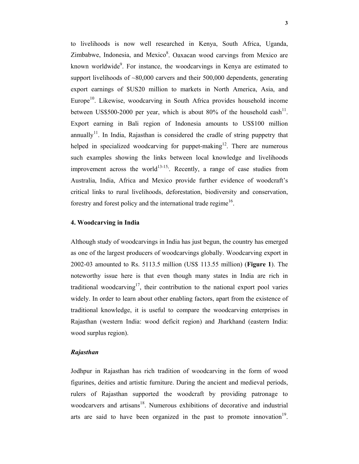to livelihoods is now well researched in Kenya, South Africa, Uganda, Zimbabwe, Indonesia, and Mexico<sup>8</sup>. Oaxacan wood carvings from Mexico are known worldwide<sup>9</sup>. For instance, the woodcarvings in Kenya are estimated to support livelihoods of  $\sim 80,000$  carvers and their 500,000 dependents, generating export earnings of \$US20 million to markets in North America, Asia, and Europe<sup>10</sup>. Likewise, woodcarving in South Africa provides household income between US\$500-2000 per year, which is about 80% of the household cash<sup>11</sup>. Export earning in Bali region of Indonesia amounts to US\$100 million annually<sup>11</sup>. In India, Rajasthan is considered the cradle of string puppetry that helped in specialized woodcarving for puppet-making<sup>12</sup>. There are numerous such examples showing the links between local knowledge and livelihoods improvement across the world<sup>13-15</sup>. Recently, a range of case studies from Australia, India, Africa and Mexico provide further evidence of woodcraft's critical links to rural livelihoods, deforestation, biodiversity and conservation, forestry and forest policy and the international trade regime<sup>16</sup>.

#### **4. Woodcarving in India**

Although study of woodcarvings in India has just begun, the country has emerged as one of the largest producers of woodcarvings globally. Woodcarving export in 2002-03 amounted to Rs. 5113.5 million (US\$ 113.55 million) (**Figure 1**). The noteworthy issue here is that even though many states in India are rich in traditional woodcarving<sup>17</sup>, their contribution to the national export pool varies widely. In order to learn about other enabling factors, apart from the existence of traditional knowledge, it is useful to compare the woodcarving enterprises in Rajasthan (western India: wood deficit region) and Jharkhand (eastern India: wood surplus region).

### *Rajasthan*

Jodhpur in Rajasthan has rich tradition of woodcarving in the form of wood figurines, deities and artistic furniture. During the ancient and medieval periods, rulers of Rajasthan supported the woodcraft by providing patronage to woodcarvers and artisans<sup>18</sup>. Numerous exhibitions of decorative and industrial arts are said to have been organized in the past to promote innovation<sup>19</sup>.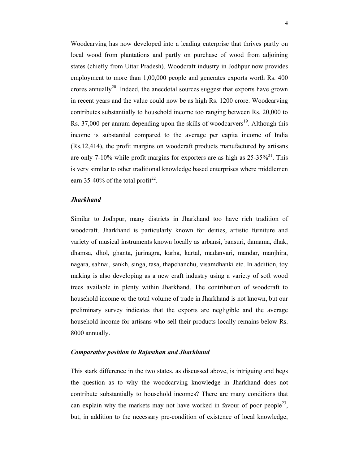Woodcarving has now developed into a leading enterprise that thrives partly on local wood from plantations and partly on purchase of wood from adjoining states (chiefly from Uttar Pradesh). Woodcraft industry in Jodhpur now provides employment to more than 1,00,000 people and generates exports worth Rs. 400 crores annually<sup>20</sup>. Indeed, the anecdotal sources suggest that exports have grown in recent years and the value could now be as high Rs. 1200 crore. Woodcarving contributes substantially to household income too ranging between Rs. 20,000 to Rs. 37,000 per annum depending upon the skills of woodcarvers<sup>19</sup>. Although this income is substantial compared to the average per capita income of India (Rs.12,414), the profit margins on woodcraft products manufactured by artisans are only 7-10% while profit margins for exporters are as high as  $25-35\%^{21}$ . This is very similar to other traditional knowledge based enterprises where middlemen earn 35-40% of the total profit<sup>22</sup>.

## *Jharkhand*

Similar to Jodhpur, many districts in Jharkhand too have rich tradition of woodcraft. Jharkhand is particularly known for deities, artistic furniture and variety of musical instruments known locally as arbansi, bansuri, damama, dhak, dhamsa, dhol, ghanta, jurinagra, karha, kartal, madanvari, mandar, manjhira, nagara, sahnai, sankh, singa, tasa, thapchanchu, visamdhanki etc. In addition, toy making is also developing as a new craft industry using a variety of soft wood trees available in plenty within Jharkhand. The contribution of woodcraft to household income or the total volume of trade in Jharkhand is not known, but our preliminary survey indicates that the exports are negligible and the average household income for artisans who sell their products locally remains below Rs. 8000 annually.

## *Comparative position in Rajasthan and Jharkhand*

This stark difference in the two states, as discussed above, is intriguing and begs the question as to why the woodcarving knowledge in Jharkhand does not contribute substantially to household incomes? There are many conditions that can explain why the markets may not have worked in favour of poor people<sup>23</sup>, but, in addition to the necessary pre-condition of existence of local knowledge,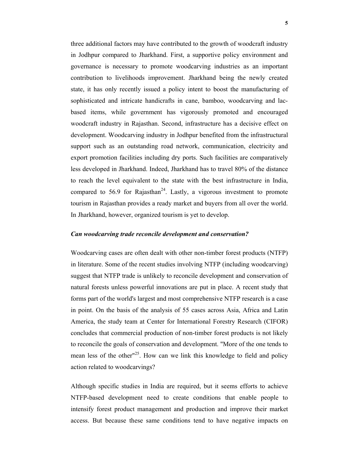three additional factors may have contributed to the growth of woodcraft industry in Jodhpur compared to Jharkhand. First, a supportive policy environment and governance is necessary to promote woodcarving industries as an important contribution to livelihoods improvement. Jharkhand being the newly created state, it has only recently issued a policy intent to boost the manufacturing of sophisticated and intricate handicrafts in cane, bamboo, woodcarving and lacbased items, while government has vigorously promoted and encouraged woodcraft industry in Rajasthan. Second, infrastructure has a decisive effect on development. Woodcarving industry in Jodhpur benefited from the infrastructural support such as an outstanding road network, communication, electricity and export promotion facilities including dry ports. Such facilities are comparatively less developed in Jharkhand. Indeed, Jharkhand has to travel 80% of the distance to reach the level equivalent to the state with the best infrastructure in India, compared to 56.9 for Rajasthan<sup>24</sup>. Lastly, a vigorous investment to promote tourism in Rajasthan provides a ready market and buyers from all over the world. In Jharkhand, however, organized tourism is yet to develop.

#### *Can woodcarving trade reconcile development and conservation?*

Woodcarving cases are often dealt with other non-timber forest products (NTFP) in literature. Some of the recent studies involving NTFP (including woodcarving) suggest that NTFP trade is unlikely to reconcile development and conservation of natural forests unless powerful innovations are put in place. A recent study that forms part of the world's largest and most comprehensive NTFP research is a case in point. On the basis of the analysis of 55 cases across Asia, Africa and Latin America, the study team at Center for International Forestry Research (CIFOR) concludes that commercial production of non-timber forest products is not likely to reconcile the goals of conservation and development. "More of the one tends to mean less of the other<sup> $n<sup>25</sup>$ . How can we link this knowledge to field and policy</sup> action related to woodcarvings?

Although specific studies in India are required, but it seems efforts to achieve NTFP-based development need to create conditions that enable people to intensify forest product management and production and improve their market access. But because these same conditions tend to have negative impacts on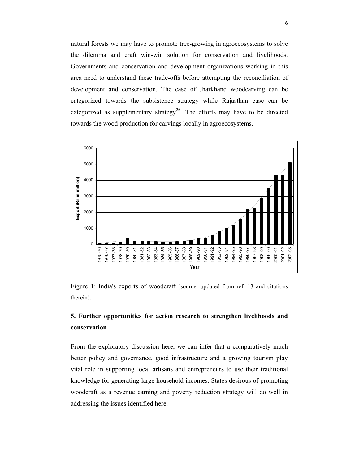natural forests we may have to promote tree-growing in agroecosystems to solve the dilemma and craft win-win solution for conservation and livelihoods. Governments and conservation and development organizations working in this area need to understand these trade-offs before attempting the reconciliation of development and conservation. The case of Jharkhand woodcarving can be categorized towards the subsistence strategy while Rajasthan case can be categorized as supplementary strategy<sup>26</sup>. The efforts may have to be directed towards the wood production for carvings locally in agroecosystems.



Figure 1: India's exports of woodcraft (source: updated from ref. 13 and citations therein).

# **5. Further opportunities for action research to strengthen livelihoods and conservation**

From the exploratory discussion here, we can infer that a comparatively much better policy and governance, good infrastructure and a growing tourism play vital role in supporting local artisans and entrepreneurs to use their traditional knowledge for generating large household incomes. States desirous of promoting woodcraft as a revenue earning and poverty reduction strategy will do well in addressing the issues identified here.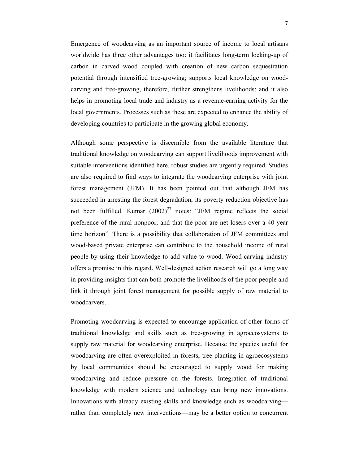Emergence of woodcarving as an important source of income to local artisans worldwide has three other advantages too: it facilitates long-term locking-up of carbon in carved wood coupled with creation of new carbon sequestration potential through intensified tree-growing; supports local knowledge on woodcarving and tree-growing, therefore, further strengthens livelihoods; and it also helps in promoting local trade and industry as a revenue-earning activity for the local governments. Processes such as these are expected to enhance the ability of developing countries to participate in the growing global economy.

Although some perspective is discernible from the available literature that traditional knowledge on woodcarving can support livelihoods improvement with suitable interventions identified here, robust studies are urgently required. Studies are also required to find ways to integrate the woodcarving enterprise with joint forest management (JFM). It has been pointed out that although JFM has succeeded in arresting the forest degradation, its poverty reduction objective has not been fulfilled. Kumar  $(2002)^{27}$  notes: "JFM regime reflects the social preference of the rural nonpoor, and that the poor are net losers over a 40-year time horizon". There is a possibility that collaboration of JFM committees and wood-based private enterprise can contribute to the household income of rural people by using their knowledge to add value to wood. Wood-carving industry offers a promise in this regard. Well-designed action research will go a long way in providing insights that can both promote the livelihoods of the poor people and link it through joint forest management for possible supply of raw material to woodcarvers.

Promoting woodcarving is expected to encourage application of other forms of traditional knowledge and skills such as tree-growing in agroecosystems to supply raw material for woodcarving enterprise. Because the species useful for woodcarving are often overexploited in forests, tree-planting in agroecosystems by local communities should be encouraged to supply wood for making woodcarving and reduce pressure on the forests. Integration of traditional knowledge with modern science and technology can bring new innovations. Innovations with already existing skills and knowledge such as woodcarving rather than completely new interventions—may be a better option to concurrent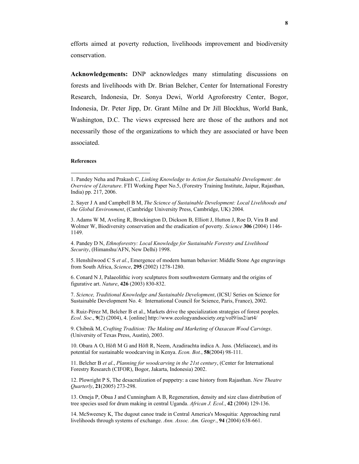efforts aimed at poverty reduction, livelihoods improvement and biodiversity conservation.

**Acknowledgements:** DNP acknowledges many stimulating discussions on forests and livelihoods with Dr. Brian Belcher, Center for International Forestry Research, Indonesia, Dr. Sonya Dewi, World Agroforestry Center, Bogor, Indonesia, Dr. Peter Jipp, Dr. Grant Milne and Dr Jill Blockhus, World Bank, Washington, D.C. The views expressed here are those of the authors and not necessarily those of the organizations to which they are associated or have been associated.

#### **References**

-

4. Pandey D N, *Ethnoforestry: Local Knowledge for Sustainable Forestry and Livelihood Security*, (Himanshu/AFN, New Delhi) 1998.

5. Henshilwood C S *et al.*, Emergence of modern human behavior: Middle Stone Age engravings from South Africa, *Science*, **295** (2002) 1278-1280.

6. Conard N J, Palaeolithic ivory sculptures from southwestern Germany and the origins of figurative art. *Nature*, **426** (2003) 830-832.

7. *Science, Traditional Knowledge and Sustainable Development*, (ICSU Series on Science for Sustainable Development No. 4: International Council for Science, Paris, France), 2002.

8. Ruiz-Pérez M, Belcher B et al., Markets drive the specialization strategies of forest peoples. *Ecol*. *Soc*., **9**(2) (2004), 4. [online] http://www.ecologyandsociety.org/vol9/iss2/art4/

9. Chibnik M, *Crafting Tradition: The Making and Marketing of Oaxacan Wood Carvings*. (University of Texas Press, Austin), 2003.

10. Obara A O, Höft M G and Höft R, Neem, Azadirachta indica A. Juss. (Meliaceae), and its potential for sustainable woodcarving in Kenya. *Econ. Bot.*, **58**(2004) 98-111.

11. Belcher B *et al*., *Planning for woodcarving in the 21st century*, (Center for International Forestry Research (CIFOR), Bogor, Jakarta, Indonesia) 2002.

12. Plowright P S, The desacralization of puppetry: a case history from Rajasthan. *New Theatre Quarterly*, **21**(2005) 273-298.

13. Omeja P, Obua J and Cunningham A B, Regeneration, density and size class distribution of tree species used for drum making in central Uganda. *African J. Ecol.*, **42** (2004) 129-136.

14. McSweeney K, The dugout canoe trade in Central America's Mosquitia: Approaching rural livelihoods through systems of exchange. *Ann. Assoc. Am. Geogr.*, **94** (2004) 638-661.

<sup>1.</sup> Pandey Neha and Prakash C, *Linking Knowledge to Action for Sustainable Development: An Overview of Literature*. FTI Working Paper No.5, (Forestry Training Institute, Jaipur, Rajasthan, India) pp. 217, 2006.

<sup>2.</sup> Sayer J A and Campbell B M, *The Science of Sustainable Development: Local Livelihoods and the Global Environment*, (Cambridge University Press, Cambridge, UK) 2004.

<sup>3.</sup> Adams W M, Aveling R, Brockington D, Dickson B, Elliott J, Hutton J, Roe D, Vira B and Wolmer W, Biodiversity conservation and the eradication of poverty. *Science* **306** (2004) 1146- 1149.